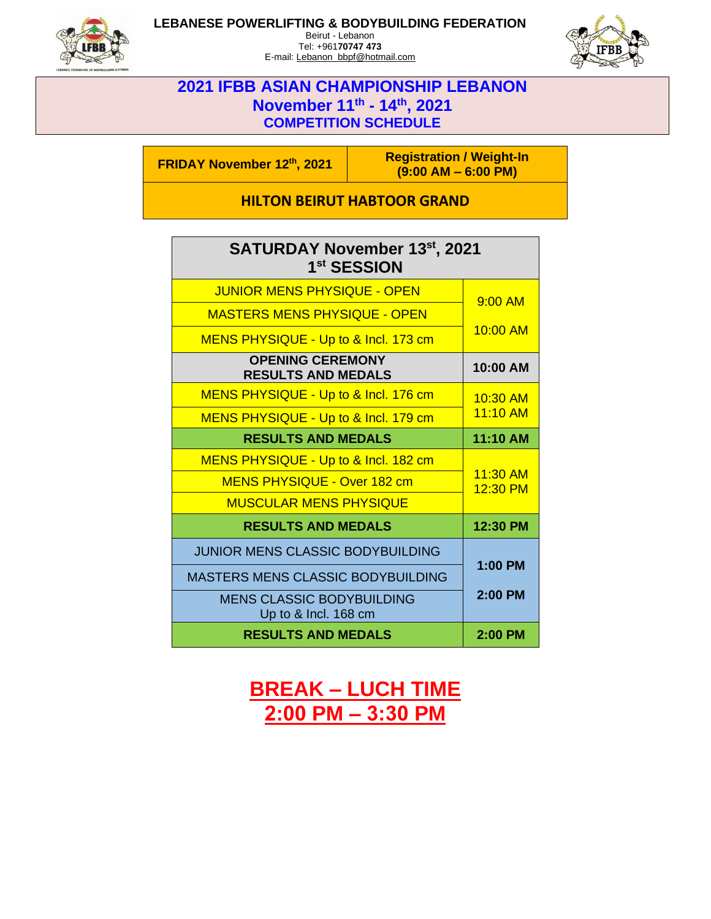

### **LEBANESE POWERLIFTING & BODYBUILDING FEDERATION**

Beirut - Lebanon Tel: +961**70747 473** E-mail: Lebanon\_bbpf@hotmail.com



### **2021 IFBB ASIAN CHAMPIONSHIP LEBANON November 11th - 14th, 2021 COMPETITION SCHEDULE**

**FRIDAY November <sup>12</sup>th, 2021 Registration / Weight-In (9:00 AM – 6:00 PM)**

**HILTON BEIRUT HABTOOR GRAND**

| <b>SATURDAY November 13st, 2021</b><br>1 <sup>st</sup> SESSION |                      |
|----------------------------------------------------------------|----------------------|
| <b>JUNIOR MENS PHYSIQUE - OPEN</b>                             | 9:00 AM              |
| <b>MASTERS MENS PHYSIQUE - OPEN</b>                            |                      |
| MENS PHYSIQUE - Up to & Incl. 173 cm                           | <u>10:00 AM</u>      |
| <b>OPENING CEREMONY</b><br><b>RESULTS AND MEDALS</b>           | 10:00 AM             |
| MENS PHYSIQUE - Up to & Incl. 176 cm                           | $10:30$ AM           |
| MENS PHYSIQUE - Up to & Incl. 179 cm                           | 11:10 AM             |
| <b>RESULTS AND MEDALS</b>                                      | 11:10 AM             |
| MENS PHYSIQUE - Up to & Incl. 182 cm                           | 11:30 AM<br>12:30 PM |
| <b>MENS PHYSIQUE - Over 182 cm</b>                             |                      |
| <b>MUSCULAR MENS PHYSIQUE</b>                                  |                      |
| <b>RESULTS AND MEDALS</b>                                      | 12:30 PM             |
| <b>JUNIOR MENS CLASSIC BODYBUILDING</b>                        | $1:00$ PM            |
| <b>MASTERS MENS CLASSIC BODYBUILDING</b>                       |                      |
| <b>MENS CLASSIC BODYBUILDING</b><br>Up to & Incl. 168 cm       | $2:00$ PM            |
| <b>RESULTS AND MEDALS</b>                                      | 2:00 PM              |

**BREAK – LUCH TIME 2:00 PM – 3:30 PM**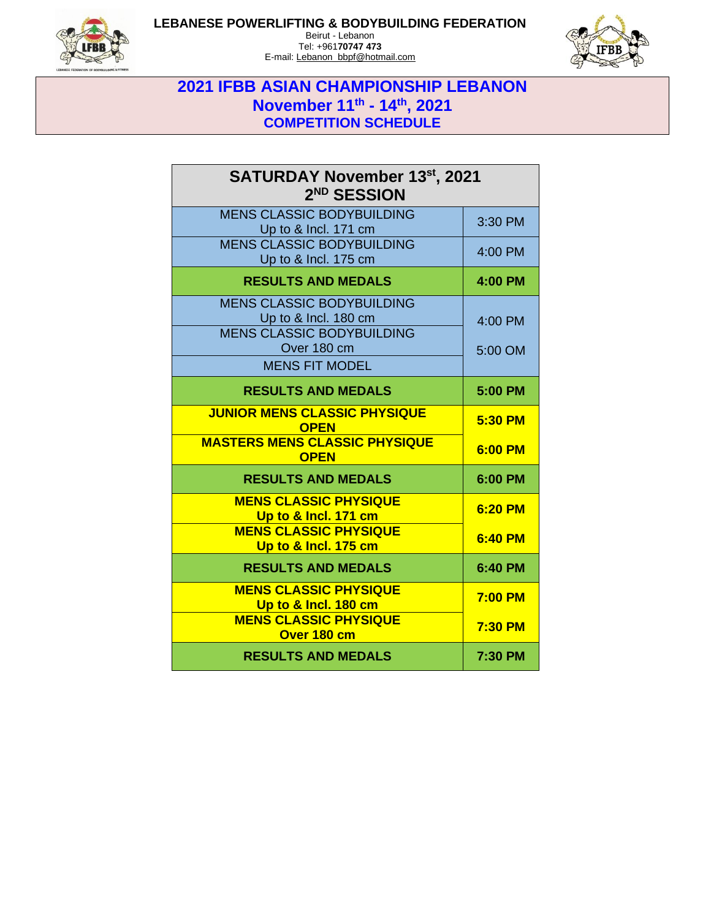

#### **LEBANESE POWERLIFTING & BODYBUILDING FEDERATION**

Beirut - Lebanon Tel: +961**70747 473** E-mail: Lebanon\_bbpf@hotmail.com



# **2021 IFBB ASIAN CHAMPIONSHIP LEBANON November 11th - 14th, 2021 COMPETITION SCHEDULE**

| <b>SATURDAY November 13st, 2021</b><br>2 <sup>ND</sup> SESSION                                                                       |                    |
|--------------------------------------------------------------------------------------------------------------------------------------|--------------------|
| <b>MENS CLASSIC BODYBUILDING</b><br>Up to & Incl. 171 cm                                                                             | 3:30 PM            |
| <b>MENS CLASSIC BODYBUILDING</b><br>Up to & Incl. 175 cm                                                                             | 4:00 PM            |
| <b>RESULTS AND MEDALS</b>                                                                                                            | 4:00 PM            |
| <b>MENS CLASSIC BODYBUILDING</b><br>Up to & Incl. 180 cm<br><b>MENS CLASSIC BODYBUILDING</b><br>Over 180 cm<br><b>MENS FIT MODEL</b> | 4:00 PM<br>5:00 OM |
| <b>RESULTS AND MEDALS</b>                                                                                                            | 5:00 PM            |
| <b>JUNIOR MENS CLASSIC PHYSIQUE</b><br><b>OPEN</b>                                                                                   | 5:30 PM            |
| <b>MASTERS MENS CLASSIC PHYSIQUE</b><br><b>OPEN</b>                                                                                  | 6:00 PM            |
| <b>RESULTS AND MEDALS</b>                                                                                                            | 6:00 PM            |
| <b>MENS CLASSIC PHYSIQUE</b><br>Up to & Incl. 171 cm                                                                                 | 6:20 PM            |
| <b>MENS CLASSIC PHYSIQUE</b><br>Up to & Incl. 175 cm                                                                                 | 6:40 PM            |
| <b>RESULTS AND MEDALS</b>                                                                                                            | 6:40 PM            |
| <b>MENS CLASSIC PHYSIQUE</b><br>Up to & Incl. 180 cm                                                                                 | $7:00$ PM          |
| <b>MENS CLASSIC PHYSIQUE</b><br>Over 180 cm                                                                                          | <b>7:30 PM</b>     |
| <b>RESULTS AND MEDALS</b>                                                                                                            | 7:30 PM            |